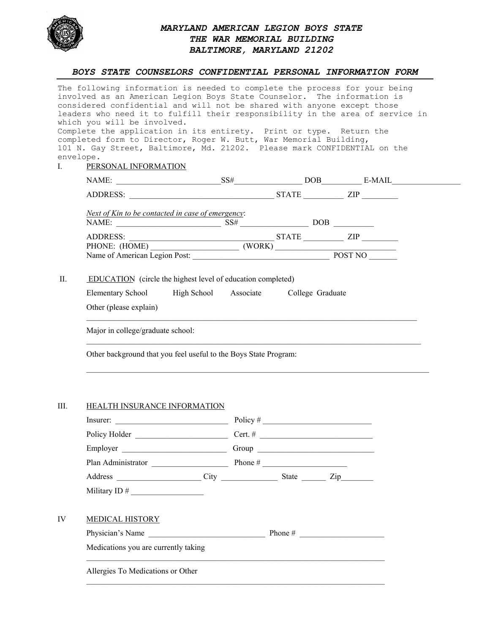

## *MARYLAND AMERICAN LEGION BOYS STATE THE WAR MEMORIAL BUILDING BALTIMORE, MARYLAND 21202*

## *BOYS STATE COUNSELORS CONFIDENTIAL PERSONAL INFORMATION FORM*

| envelope. | The following information is needed to complete the process for your being<br>involved as an American Legion Boys State Counselor. The information is<br>considered confidential and will not be shared with anyone except those<br>leaders who need it to fulfill their responsibility in the area of service in<br>which you will be involved.<br>Complete the application in its entirety. Print or type. Return the<br>completed form to Director, Roger W. Butt, War Memorial Building,<br>101 N. Gay Street, Baltimore, Md. 21202. Please mark CONFIDENTIAL on the<br>I. PERSONAL INFORMATION |  |  |  |  |  |  |  |
|-----------|-----------------------------------------------------------------------------------------------------------------------------------------------------------------------------------------------------------------------------------------------------------------------------------------------------------------------------------------------------------------------------------------------------------------------------------------------------------------------------------------------------------------------------------------------------------------------------------------------------|--|--|--|--|--|--|--|
|           | NAME: $SS#$ DOB E-MAIL                                                                                                                                                                                                                                                                                                                                                                                                                                                                                                                                                                              |  |  |  |  |  |  |  |
|           |                                                                                                                                                                                                                                                                                                                                                                                                                                                                                                                                                                                                     |  |  |  |  |  |  |  |
|           | Next of Kin to be contacted in case of emergency:                                                                                                                                                                                                                                                                                                                                                                                                                                                                                                                                                   |  |  |  |  |  |  |  |
| II.       | <b>EDUCATION</b> (circle the highest level of education completed)<br>Elementary School High School Associate College Graduate<br>Other (please explain)                                                                                                                                                                                                                                                                                                                                                                                                                                            |  |  |  |  |  |  |  |
|           | Major in college/graduate school:                                                                                                                                                                                                                                                                                                                                                                                                                                                                                                                                                                   |  |  |  |  |  |  |  |
|           | Other background that you feel useful to the Boys State Program:                                                                                                                                                                                                                                                                                                                                                                                                                                                                                                                                    |  |  |  |  |  |  |  |
|           |                                                                                                                                                                                                                                                                                                                                                                                                                                                                                                                                                                                                     |  |  |  |  |  |  |  |

## III. HEALTH INSURANCE INFORMATION

| Insurer:                             |                             |
|--------------------------------------|-----------------------------|
|                                      |                             |
| Employer                             |                             |
| Plan Administrator                   |                             |
|                                      | Address City City State Zip |
|                                      |                             |
| <b>MEDICAL HISTORY</b>               |                             |
| Physician's Name                     |                             |
| Medications you are currently taking |                             |